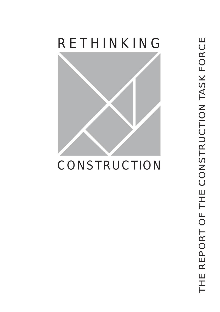# **RETHINKING**

# CONSTRUCTION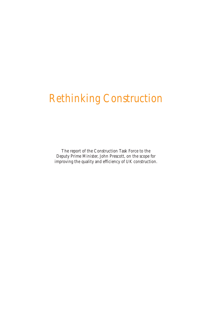# Rethinking Construction

The report of the Construction Task Force to the Deputy Prime Minister, John Prescott, on the scope for improving the quality and efficiency of UK construction.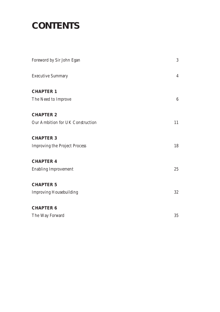### **CONTENTS**

| Foreword by Sir John Egan            | 3               |
|--------------------------------------|-----------------|
| <b>Executive Summary</b>             | $\overline{4}$  |
| <b>CHAPTER 1</b>                     |                 |
| The Need to Improve                  | $6\phantom{.}6$ |
| <b>CHAPTER 2</b>                     |                 |
| Our Ambition for UK Construction     | 11              |
| <b>CHAPTER 3</b>                     |                 |
| <b>Improving the Project Process</b> | 18              |
| <b>CHAPTER 4</b>                     |                 |
| <b>Enabling Improvement</b>          | 25              |
| <b>CHAPTER 5</b>                     |                 |
| <b>Improving Housebuilding</b>       | 32              |
| <b>CHAPTER 6</b>                     |                 |
| The Way Forward                      | 35              |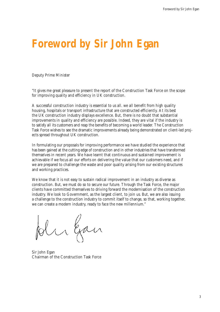# **Foreword by Sir John Egan**

Deputy Prime Minister

"It gives me great pleasure to present the report of the Construction Task Force on the scope for improving quality and efficiency in UK construction.

A successful construction industry is essential to us all. we all benefit from high quality housing, hospitals or transport infrastructure that are constructed efficiently. At its best the UK construction industry displays excellence. But, there is no doubt that substantial improvements in quality and efficiency are possible. Indeed, they are vital if the industry is to satisfy all its customers and reap the benefits of becoming a world leader. The Construction Task Force wishes to see the dramatic improvements already being demonstrated on client-led projects spread throughout UK construction.

In formulating our proposals for improving performance we have studied the experience that has been gained at the cutting edge of construction and in other industries that have transformed themselves in recent years. We have learnt that continuous and sustained improvement is achievable if we focus all our efforts on delivering the value that our customers need, and if we are prepared to challenge the waste and poor quality arising from our existing structures and working practices.

We know that it is not easy to sustain radical improvement in an industry as diverse as construction. But, we must do so to secure our future. Through the Task Force, the major clients have committed themselves to driving forward the modernisation of the construction industry. We look to Government, as the largest client, to join us. But, we are also issuing a challenge to the construction industry to commit itself to change, so that, working together, we can create a modern industry, ready to face the new millennium."

u gan

Sir John Egan Chairman of the Construction Task Force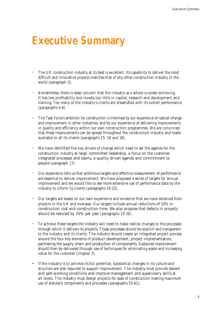## **Executive Summary**

- The UK construction industry at its best is excellent. Its capability to deliver the most difficult and innovative projects matches that of any other construction industry in the world (paragraph 3).
- Nonetheless, there is deep concern that the industry as a whole is under-achieving. It has low profitability and invests too little in capital, research and development and training. Too many of the industry's clients are dissatisfied with its overall performance (paragraphs 4-6).
- The Task Force's ambition for construction is informed by our experience of radical change and improvement in other industries, and by our experience of delivering improvements in quality and efficiency within our own construction programmes. We are convinced that these improvements can be spread throughout the construction industry and made available to all its clients (paragraphs 15, 16 and 18).
- We have identified five key drivers of change which need to set the agenda for the construction industry at large: *committed leadership, a focus on the customer, integrated processes and teams, a quality driven agenda and commitment to people* (paragraph 17).
- Our experience tells us that ambitious targets and effective measurement of performance are essential to deliver improvement. We have proposed a series of targets for annual improvement and we would like to see more extensive use of performance data by the industry to inform its clients (paragraphs 19-22).
- Our targets are based on our own experience and evidence that we have obtained from projects in the UK and overseas. Our targets include annual reductions of 10% *in construction cost and construction time. We also propose that defects in projects should be reduced by 20% per year* (paragraphs 23-26).
- To achieve these targets the industry will need to make radical changes to the processes through which it delivers its projects. These processes should be explicit and transparent to the industry and its clients. The industry should create an integrated project process around the four key elements of *product development, project implementation, partnering the supply chain and production of components.* Sustained improvement should then be delivered through use of techniques for eliminating waste and increasing value for the customer (chapter 3).
- If the industry is to achieve its full potential, substantial changes in its culture and structure are also required to support improvement. The industry must provide *decent*  and safe working conditions and improve management and supervisory skills at all levels. The industry must design projects for ease of construction making maximum use of standard components and processes (paragraphs 53-61).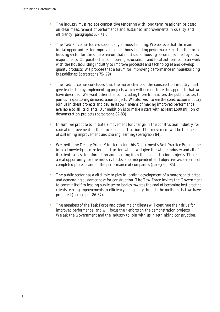- The industry must replace competitive tendering with *long term relationships* based on clear measurement of performance and *sustained improvements in quality and efficiency* (paragraphs 67- 71).
- The Task Force has looked specifically at housebuilding. We believe that the main initial opportunities for improvements in housebuilding performance exist in the social housing sector for the simple reason that most social housing is commissioned by a few major clients. Corporate clients – housing associations and local authorities – can work with the housebuilding industry to improve processes and technologies and develop quality products. We propose that a forum for improving performance in housebuilding is established (paragraphs 75- 79).
- The Task force has concluded that the major clients of the construction industry must give leadership by implementing projects which will demonstrate the approach that we have described. We want other clients, including those from across the public sector, to join us in sponsoring demonstration projects. We also wish to see the construction industry join us in these projects and devise its own means of making improved performance available to all its clients. Our ambition is to make a start with at least £500 million of demonstration projects (paragraphs 82-83).
- In sum, we propose to initiate a movement for change in the construction industry, for radical improvement in the process of construction. This movement will be the means of sustaining improvement and sharing learning (paragraph 84).
- We invite the Deputy Prime Minister to turn his Department's Best Practice Programme into a knowledge centre for construction which will give the whole industry and all of its clients access to information and learning from the demonstration projects. There is a real opportunity for the industry to develop independent and objective assessments of completed projects and of the performance of companies (paragraph 85).
- The public sector has a vital role to play in leading development of a more sophisticated and demanding customer base for construction. The Task Force invites the Government to commit itself to leading public sector bodies towards the goal of becoming best practice clients seeking improvements in efficiency and quality through the methods that we have proposed (paragraphs 86-87).
- The members of the Task Force and other major clients will continue their drive for improved performance, and will focus their efforts on the demonstration projects. We ask the Government and the industry to join with us in rethinking construction.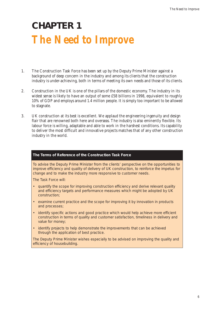# **CHAPTER 1 The Need to Improve**

- 1. The Construction Task Force has been set up by the Deputy Prime Minister against a background of deep concern in the industry and among its clients that the construction industry is under-achieving, both in terms of meeting its own needs and those of its clients.
- 2. Construction in the UK is one of the pillars of the domestic economy. The industry in its widest sense is likely to have an output of some £58 billions in 1998, equivalent to roughly 10% of GDP and employs around 1.4 million people. It is simply too important to be allowed to stagnate.
- 3. UK construction at its best is excellent. We applaud the engineering ingenuity and design flair that are renowned both here and overseas. The industry is also eminently flexible. Its labour force is willing, adaptable and able to work in the harshest conditions. Its capability to deliver the most difficult and innovative projects matches that of any other construction industry in the world.

#### **The Terms of Reference of the Construction Task Force**

To advise the Deputy Prime Minister from the clients' perspective on the opportunities to improve efficiency and quality of delivery of UK construction, to reinforce the impetus for change and to make the industry more responsive to customer needs.

The Task Force will:

- quantify the scope for improving construction efficiency and derive relevant quality and efficiency targets and performance measures which might be adopted by UK construction;
- examine current practice and the scope for improving it by innovation in products and processes;
- identify specific actions and good practice which would help achieve more efficient construction in terms of quality and customer satisfaction, timeliness in delivery and value for money;
- identify projects to help demonstrate the improvements that can be achieved through the application of best practice.

The Deputy Prime Minister wishes especially to be advised on improving the quality and efficiency of housebuilding.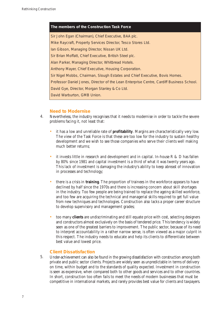#### **The members of the Construction Task Force**

Sir John Egan (Chairman), Chief Executive, BAA plc. Mike Raycraft, Property Services Director, Tesco Stores Ltd. Ian Gibson, Managing Director, Nissan UK Ltd. Sir Brian Moffatt, Chief Executive, British Steel plc. Alan Parker, Managing Director, Whitbread Hotels. Anthony Mayer, Chief Executive, Housing Corporation. Sir Nigel Mobbs, Chairman, Slough Estates and Chief Executive, Bovis Homes. Professor Daniel Jones, Director of the Lean Enterprise Centre, Cardiff Business School. David Gye, Director, Morgan Stanley & Co Ltd. David Warburton, GMB Union.

#### **Need to Modernise**

- Nevertheless, the industry recognises that it needs to modernise in order to tackle the severe problems facing it, not least that: 4.
	- it has a low and unreliable rate of **profitability**. Margins are characteristically very low. The view of the Task Force is that these are too low for the industry to sustain healthy development and we wish to see those companies who serve their clients well making much better returns;
	- it invests little in research and development and in capital. In-house  $R \& D$  has fallen by 80% since 1981 and capital investment is a third of what it was twenty years ago. This lack of investment is damaging the industry's ability to keep abreast of innovation in processes and technology;
	- there is a crisis in **training**. The proportion of trainees in the workforce appears to have declined by half since the 1970s and there is increasing concern about skill shortages in the industry. Too few people are being trained to replace the ageing skilled workforce, and too few are acquiring the technical and managerial skills required to get full value from new techniques and technologies. Construction also lacks a proper career structure to develop supervisory and management grades;
	- too many **clients** are undiscriminating and still equate price with cost, selecting designers and constructors almost exclusively on the basis of tendered price. This tendency is widely seen as one of the greatest barriers to improvement. The public sector, because of its need to interpret accountability in a rather narrow sense, is often viewed as a major culprit in this respect. The industry needs to educate and help its clients to differentiate between best value and lowest price.

#### **Client Dissatisfaction**

Under-achievement can also be found in the growing dissatisfaction with construction among both private and public sector clients. Projects are widely seen as unpredictable in terms of delivery on time, within budget and to the standards of quality expected. Investment in construction is seen as expensive, when compared both to other goods and services and to other countries. In short, construction too often fails to meet the needs of modern businesses that must be competitive in international markets, and rarely provides best value for clients and taxpayers. 5.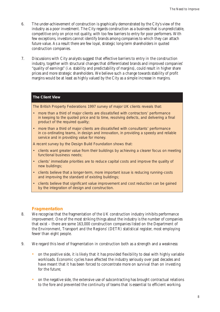- The under-achievement of construction is graphically demonstrated by the City's view of the industry as a poor investment. The City regards construction as a business that is unpredictable, competitive only on price not quality, with too few barriers to entry for poor performers. With few exceptions, investors cannot identify brands among companies to which they can attach future value. As a result there are few loyal, strategic long-term shareholders in quoted construction companies. 6.
- Discussions with City analysts suggest that effective barriers to entry in the construction industry, together with structural changes that differentiated brands and improved companies' "quality of earnings" (i.e. stability and predictability of margins), could result in higher share prices and more strategic shareholders. We believe such a change towards stability of profit margins would be at least as highly valued by the City as a simple increase in margins. 7.

#### **The Client View**

The British Property Federations 1997 survey of major UK clients reveals that:

- more than a third of major clients are dissatisfied with contractors' performance in keeping to the quoted price and to time, resolving defects, and delivering a final product of the required quality;
- more than a third of major clients are dissatisfied with consultants' performance in co-ordinating teams, in design and innovation, in providing a speedy and reliable service and in providing value for money.

A recent survey by the Design Build Foundation shows that:

- clients want greater value from their buildings by achieving a clearer focus on meeting functional business needs;
- clients' immediate priorities are to reduce capital costs and improve the quality of new buildings;
- clients believe that a longer-term, more important issue is reducing running-costs and improving the standard of existing buildings;
- clients believe that significant value improvement and cost reduction can be gained by the integration of design and construction.

#### **Fragmentation**

- We recognise that the fragmentation of the UK construction industry inhibits performance improvement. One of the most striking things about the industry is the number of companies that exist – there are some 163,000 construction companies listed on the Department of the Environment, Transport and the Regions' (DETR) statistical register, most employing fewer than eight people. 8.
- We regard this level of fragmentation in construction both as a strength and a weakness: 9.
	- on the positive side, it is likely that it has provided flexibility to deal with highly variable workloads. Economic cycles have affected the industry seriously over past decades and have meant that it has been forced to concentrate more on survival than on investing for the future;
	- on the negative side, the extensive use of subcontracting has brought contractual relations to the fore and prevented the continuity of teams that is essential to efficient working.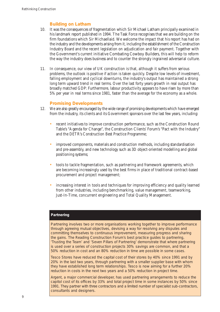#### **Building on Latham**

- It was the consequences of fragmentation which Sir Michael Latham principally examined in his landmark report published in 1994. The Task Force recognises that we are building on the firm foundations which Sir Michaellaid. We welcome the impact that his report has had on the industry and the developments arising from it, including the establishment of the Construction Industry Board and the recent legislation on adjudication and fair payment. Together with the Government's current initiative *Combating Cowboy Builders*, this will help to reform the way the industry does business and to counter the strongly ingrained adversarial culture. 10.
- In consequence, our view of UK construction is that, although it suffers from serious 11. problems, the outlook is positive if action is taken quickly. Despite low levels of investment, falling employment and cyclical downturns, the industry's output has maintained a strong long term upward trend in real terms. Over the last forty years growth in real output has broadly matched GDP: Furthermore, labour productivity appears to have risen by more than 5% per year in real terms since 1981, faster than the average for the economy as a whole.

#### **Promising Developments**

- We are also greatly encouraged by the wide range of promising developments which have emerged from the industry, its clients and its Government sponsors over the last few years, including: 12.
	- recent initiatives to improve construction performance, such as the Construction Round Table's "Agenda for Change", the Construction Clients' Forum's "Pact with the Industry" and the DETR's Construction Best Practice Programme;
	- improved components, materials and construction methods, including standardisation and pre-assembly, and new technology such as 3D object-oriented modelling and global positioning systems;
	- tools to tackle fragmentation, such as partnering and framework agreements, which are becoming increasingly used by the best firms in place of traditional contract-based procurement and project management;
	- increasing interest in tools and techniques for improving efficiency and quality learned from other industries, including benchmarking, value management, teamworking, Just-In-Time, concurrent engineering and Total Quality Management.

#### **Partnering**

Partnering involves two or more organisations working together to improve performance through agreeing mutual objectives, devising a way for resolving any disputes and committing themselves to continuous improvement, measuring progress and sharing the gains. The Reading Construction Forum's best practice guides to partnering, 'Trusting the Team' and 'Seven Pillars of Partnering' demonstrate that where partnering is used over a series of construction projects 30% savings are common, and that a 50% reduction in cost and an 80% reduction in time are possible in some cases.

Tesco Stores have reduced the capital cost of their stores by 40% since 1991 and by 20% in the last two years, through partnering with a smaller supplier base with whom they have established long term relationships. Tesco is now aiming for a further 20% reduction in costs in the next two years and a 50% reduction in project time.

Argent, a major commercial developer, has used partnering arrangements to reduce the capitol cost of its offices by 33% and total project time in some instances by 50% since 1991. They partner with three contractors and a limited number of specialist sub-contractors, consultants and designers.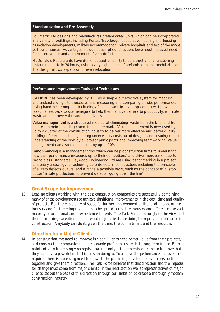#### **Standardisation and Pre-Assembly**

Volumetric Ltd designs and manufactures prefabricated units which can be incorporated in a variety of buildings, including Forte's Travelodge, speculative housing and housing association developments, military accommodation, private hospitals and top of the range self-build houses. Advantages include speed of construction, lower cost, reduced need for skilled labour and achievement of zero defects.

McDonald's Restaurants have demonstrated an ability to construct a fully-functioning restaurant on site in 24 hours, using a very high degree of prefabrication and modularisation. The design allows expansion or even relocation

#### **Performance Improvement Tools and Techniques**

**CALIBRE** has been developed by BRE as a simple but effective system for mapping and understanding site processes and measuring and comparing on-site performance. Using hand-held computer technology feeding back to a lap top computer it provides real-time feedback to site managers to help them remove barriers to productivity, eliminate waste and improve value-adding activities

**Value management** is a structured method of eliminating waste from the brief and from the design before binding commitments are made. Value management is now used by up to a quarter of the construction industry to deliver more effective and better quality buildings, for example through taking unnecessary costs out of designs, and ensuring clearer understanding of the brief by all project participants and improving teamworking. Value management can also reduce costs by up to 10%

**Benchmarking** is a management tool which can help construction firms to understand how their performance measures up to their competitors' and drive improvement up to 'world class' standards. Taywood Engineering Ltd are using benchmarking in a project to identify a strategy for achieving zero defects in construction, including the principles of a 'zero defects culture' and a range a possible tools, such as the concept of a 'stop button' in site production, to prevent defects "going down the line".

#### **Great Scope for Improvement**

Leading clients working with the best construction companies are successfully combining many of these developments to achieve significant improvements in the cost, time and quality of projects. But there is plenty of scope for further improvement at the leading edge of the industry and for these improvements to be spread across the industry and offered to the vast majority of occasional and inexperienced clients. The Task Force is strongly of the view that there is nothing exceptional about what major clients are doing to improve performance in construction. Anybody can do it, given the time, the commitment and the resources. 13.

#### **Direction from Major Clients**

In construction the need to improve is clear. Clients need better value from their projects, and construction companies need reasonable profits to assure their long-term future. Both points of view increasingly recognise that not only is there plenty of scope to improve, but they also have a powerful mutual interest in doing so. To achieve the performance improvements required there is a pressing need to draw all the promising developments in construction together and give them direction. The Task Force believes that this direction and the impetus for change must come from major clients. In the next section we, as representatives of major clients, set out the basis of this direction through our ambition to create a thoroughly modern construction industry. 14.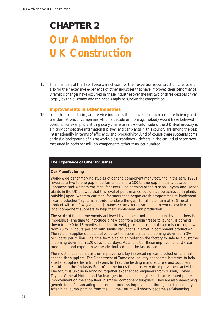# **CHAPTER 2 Our Ambition for UK Construction**

The members of the Task Force were chosen for their expertise as construction clients and also for their extensive experience of other industries that have improved their performance. Dramatic changes have occurred in these industries over the last two or three decades driven largely by the customer and the need simply to survive the competition. 15.

#### **Improvements in Other Industries**

In both manufacturing and service industries there have been increases in efficiency and 16. transformations of companies which a decade or more ago nobody would have believed possible. For example, British grocery chains are now world leaders, the UK steel industry is a highly competitive international player, and car plants in this country are among the best internationally in terms of efficiency and productivity. And of course these successes come against a background of rising world-class standards – defects in the car industry are now measured in parts per million components rather than per hundred.

#### **The Experience of Other Industries**

#### **Car Manufacturing**

World-wide benchmarking studies of car and component manufacturing in the early 1990s revealed a two to one gap in performance and a 100 to one gap in quality between Japanese and Western car manufacturers. The opening of the Nissan, Toyota and Honda plants in the UK showed that this level of performance could also be achieved in plants outside Japan. Western car manufacturers then began crash programmes to implement "lean production" systems in order to close the gap. To fulfil their aim of 80% local content within a few years, the Japanese carmakers also began to work closely with local component suppliers to help them implement lean production.

The scale of the improvements achieved by the best and being sought by the others is impressive. The time to introduce a new car, from design freeze to launch, is coming down from 40 to 15 months. the time to weld, paint and assemble a car is coming down from 40 to 15 hours per car, with similar reductions in effort in component production. The rate of supplier defects delivered to the assembly pant is coming down from 3% to 5 parts per million. The time from placing an order on the factory to sale to a customer is coming down from 120 days to 15 days. As a result of these improvements UK car production and exports have nearly doubled over the last decade.

The most critical constraint on improvement lay in spreading lean production to smaller second tier suppliers. The Department of Trade and Industry sponsored initiatives to help smaller suppliers learn from Japan. In 1995 the leading manufacturers and suppliers established the "Industry Forum" as the focus for industry-wide improvement activities. The forum is unique in bringing together experienced engineers from Nissan, Honda, Toyota, General Motors and Volkswagen to train local engineers in accelerated process improvement on the shop floor in smaller component suppliers. They are also developing generic tools for spreading accelerated process improvement throughout the industry. After initial pump priming from the DTI the Forum will shortly become self-financing.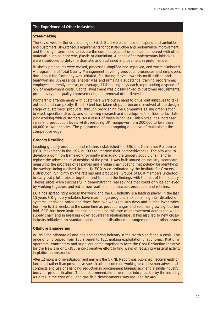#### **The Experience of Other Industries**

#### **Steel-making**

The key drivers for the restructuring of British Steel were the need to respond to shareholders' and customers' simultaneous requirements for cost reduction and performance improvement, and the longer term need to secure the competitive position of steel compared with other materials such as concrete, plastic or aluminium. A series of complementary initiatives were introduced to deliver a dramatic and sustained improvement in performance.

Business procedures were revised, processes simplified and improved, and waste eliminated. A programme of Total Quality Management covering products, processes and employees throughout the Company was initiated, facilitating moves towards multi-skilling and teamworking. An essential enabler was and remains a substantial training programme: employees currently receive, on average, 11.4 training days each, representing a spend of 5% of employment costs. Capital investment was closely linked to customer requirements, productivity and quality improvements, and removal of bottlenecks.

Partnership arrangements with customers were put in hand to drive joint initiatives to take out cost and complexity, British Steel has taken steps to become involved at the design stage of customers' products, through broadening the Company's selling organisation to reach specifiers directly, and enhancing research and development facilities to facilitate joint working with customers. As a result of these initiatives British Steel has increased sales and production levels whilst reducing UK manpower from 200,000 to less than 40,000 in two decades. The programme has on ongoing objective of maintaining the competitive edge.

#### **Grocery Retailing**

Leading grocery producers and retailers established the Efficient Consumer Response (ECR) movement in the USA in 1993 to improve their competitiveness. The aim was to develop a common framework for jointly managing the grocery supply chain and to replace the advesarial relationships of the past. It was built around an industry 'scorecard' measuring the progress of all parties and a value chain costing methodoloy for identifying the savings being realised. In the UK ECR is co-ordinated by the Institute for Grocery Distribution, run jointly by the retailers and producers. Groups of ECR members undertook to carry out pilot projects together and to share the findings with the rest of the industry. Theses pilots were successful in demonstrating real savings that could only be achieved by working together, and led to new partnerships between producers and retailers.

ECR has spread right across the world and the UK industry is a leading player. In the last 15 years UK grocery retailers have made huge progress in streamlining their distribution systems, shrinking order lead times from two weeks to two days and cutting inventories from five to 2.5 weeks, at the same time as product ranges and volumes grew eight to ten fold. ECR has been instrumental in sustaining this rate of improvement across the whole supply chain and in breaking down adversarial relationships. It has also led to new crossindustry initiatives on standardisation, shared distribution arrangements and other issues.

#### **Offshore Engineering**

In 1992 the offshore oil and gas engineering industry in the North Sea faced a crisis. The price of oil dropped from \$35 a barrel to \$12, making exploitation uneconomic. Platform operators, contractors and suppliers came together to form the **C**ost **R**eduction **I**nitiative for the **N**ew **E**ra or CRINE, a co-operative effort to find ways of reducing wasteful activity in platform construction.

After 12 months of investigation and analysis the CRINE Report was published, recommending: functional rather than prescriptive specifications; common working practices; non-adversarial contracts and use of alliancing; reduction in procurement bureaucracy; and a single industry body for prequalification. These recommendations were put into practice by the industry. As a result the cost of oil and gas field developments was reduced by 40%.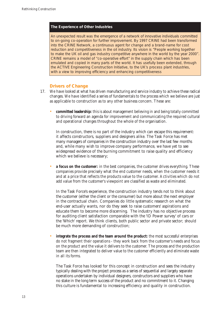#### **The Experience of Other Industries**

An unexpected result was the emergence of a network of innovative individuals committed to on-going co-operation for further improvement. By 1997 CRINE had been transformed into the CRINE Network, a continuous agent for change and a brand-name for cost reduction and competitiveness in the oil industry. Its vision is *"People working together to make the UK oil and gas industry competitive anywhere in the world by the year 2000"*. CRINE remains a model of "co-operative effort" in the supply chain which has been emulated and copied in many parts of the world. It has usefully been extended, through the ACTIVE Engineering Construction Initiative, to the UK's process plant industries, with a view to improving efficiency and enhancing competitiveness

#### **Drivers of Change**

- We have looked at what has driven manufacturing and service industry to achieve these radical changes. We have identified a series of fundamentals to the process which we believe are just as applicable to construction as to any other business concern. These are: 17.
	- **committed leadership:** this is about management believing in and being totally committed to driving forward an agenda for improvement and communicating the required cultural and operational changes throughout the whole of the organisation.

*In construction, there is no part of the industry which can escape this requirement: it affects constructors, suppliers and designers alike. The Task Force has met many managers of companies in the construction industry over the last few months and, while many wish to improve company performance, we have yet to see widespread evidence of the burning commitment to raise quality and efficiency which we believe is necessary;*

• **a focus on the customer:** in the best companies, the customer drives everything. These companies provide precisely what the end customer needs, when the customer needs it and at a price that reflects the products value to the customer. Activities which do not add value from the customer's viewpoint are classified as waste and eliminated.

*In the Task Force's experience, the construction industry tends not to think about the customer (either the client or the consumer) but more about the next employer in the contractual chain. Companies do little systematic research on what the end-user actually wants, nor do they seek to raise customers' aspirations and educate them to become more discerning. The industry has no objective process for auditing client satisfaction comparable with the 'ID Power survey' of cars or the 'Which' report. We think clients, both public sector and private sector; should be much more demanding of construction;* 

• **integrate the process and the team around the product:** the most successful enterprises do not fragment their operations - they work back from the customer's needs and focus on the product and the value it delivers to the customer. The process and the production team are then integrated to deliver value to the customer efficiently and eliminate waste in all its forms.

*The Task Force has looked for this concept in construction and sees the industry typically dealing with the project process as a series of sequential and largely separate operations undertaken by individual designers, constructors and suppliers who have no stake in the long term success of the product and no commitment to it. Changing this culture is fundamental to increasing efficiency and quality in construction.*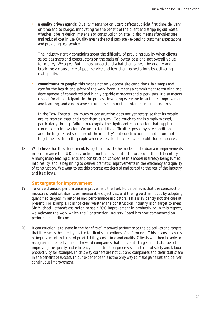• **a quality driven agenda:** Quality means not only zero defects but right first time, delivery on time and to budget, innovating for the benefit of the client and stripping out waste, whether it be in design, materials or construction on site. It also means after-sales care and reduced cost in use. Quality means the total package - exceeding customer expectations and providing real service.

*The industry rightly complains about the difficulty of providing quality when clients select designers and constructors on the basis of lowest cost and not overall value for money. We agree. But it must understand what clients mean by quality and break the vicious circle of poor service and low client expectations by delivering real quality.* 

• **commitment to people:** this means not only decent site conditions, fair wages and care for the health and safety of the work force. It means a commitment to training and development of committed and highly capable managers and supervisors. It also means respect for all participants in the process, involving everyone in sustained improvement and learning, and a no-blame culture based on mutual interdependence and trust.

*In the Task Force"s view much of construction does not yet recognise that its people are its greatest asset and treat them as such. Too much talent is simply wasted, particularly through failure to recognise the significant contribution that suppliers can make to innovation. We understand the difficulties posed by site conditions and the fragmented structure of the industry" but construction cannot afford not to get the best from the people who create value for clients and profits for companies.*

We believe that these fundamentals together provide the model for the dramatic improvements in performance that UK construction must achieve if it is to succeed in the 21st century. Among many leading clients and construction companies this model is already being turned into reality, and is beginning to deliver dramatic improvements in the efficiency and quality of construction. We want to see this progress accelerated and spread to the rest of the industry and its clients. 18.

#### **Set targets for Improvement**

- To drive dramatic performance improvement the Task Force believes that the construction industry should set itself clear measurable objectives, and then give them focus by adopting quantified targets, milestones and performance indicators. This is evidently not the case at present. For example, it is not clear whether the construction industry is on target to meet Sir Michael Latham's aspiration to see a 30% improvement in productivity. In this respect, we welcome the work which the Construction Industry Board has now commenced on performance indicators. 19.
- If construction is to share in the benefits of improved performance the objectives and targets that it sets must be directly related to client's perceptions of performance. This means measures of improvement in terms of predictability, cost, time and quality. Clients will then be able to recognise increased value and reward companies that deliver it. Targets must also be set for improving the quality and efficiency of construction processes – in terms of safety and labour productivity for example. In this way corners are not cut and companies and their staff share in the benefits of success. In our experience this is the only way to make gains last and deliver continuous improvement. 20.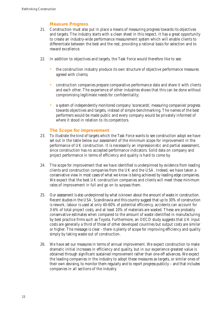#### **Measure Progress**

- Construction must also put in place a means of measuring progress towards its objectives and targets. The industry starts with a clean sheet in this respect. It has a great opportunity to create an industry-wide performance measurement system which will enable clients to differentiate between the best and the rest, providing a rational basis for selection and to reward excellence. 21.
- In addition to objectives and targets, the Task Force would therefore like to see: 22.
	- the construction industry produce its own structure of objective performance measures agreed with clients;
	- construction companies prepare comparative performance data and share it with clients and each other. The experience of other industries shows that this can be done without compromising legitimate needs for confidentiality;
	- a system of independently monitored company 'scorecards', measuring companies' progress towards objectives and targets, instead of simple benchmarking. The names of the best performers would be made public and every company would be privately informed of where it stood in relation to its competitors.

#### **The Scope for Improvement**

- To illustrate the kind of targets which the Task Force wants to see construction adopt we have 23. set out in the table below our assessment of the minimum scope for improvement in the performance of UK construction. It is necessarily an impressionistic and partial assessment, since construction has no accepted performance indicators. Solid data on company and project performance in terms of efficiency and quality is hard to come by.
- The scope for improvement that we have identified is underpinned by evidence from leading clients and construction companies from the UK and the USA. Indeed, we have taken a conservative view in most cases of what we know is being achieved by leading edge companies. We expect that the best UK construction companies and clients will meet these minimum rates of improvement in full and go on to surpass them. 24.
- Our assessment is also underpinned by what is known about the amount of waste in construction. Recent studies in the USA, Scandinavia and this country suggest that up to 30% of construction is rework, labour is used at only 40-60% of potential efficiency, accidents can account for 3-6% of total project costs, and at least 10% of materials are wasted. These are probably conservative estimates when compared to the amount of waste identified in manufacturing by best practice firms such as Toyota. Furthermore, an OECD study suggests that UK input costs are generally a third of those of other developed countries but output costs are similar or higher. The message is clear - there is plenty of scope for improving efficiency and quality simply by taking waste out of construction. 25.
- We have set our measures in terms of annual improvement. We expect construction to make dramatic initial increases in efficiency and quality, but in our experience greatest value is obtained through significant sustained improvement rather than one-off advances. We expect the leading companies in the industry to adopt these measures as targets, or similar ones of their own devising, to monitor them regularly and to report progress publicly – and that includes companies in all sections of the industry. 26.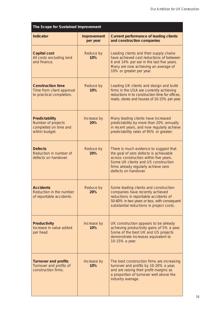| The Scope for Sustained Improvement                                                    |                         |                                                                                                                                                                                                                                   |
|----------------------------------------------------------------------------------------|-------------------------|-----------------------------------------------------------------------------------------------------------------------------------------------------------------------------------------------------------------------------------|
| <b>Indicator</b>                                                                       | Improvement<br>per year | <b>Current performance of leading clients</b><br>and construction companies                                                                                                                                                       |
| <b>Capital cost</b><br>All costs excluding land<br>and finance.                        | Reduce by<br>10%        | Leading clients and their supply chains<br>have achieved cost reductions of between<br>6 and 14% per ear in the last five years.<br>Many are now achieving an average of<br>10% or greater per year.                              |
| <b>Construction time</b><br>Time from client approval<br>to practical completion.      | Reduce by<br>10%        | Leading UK clients and design and build<br>firms in the USA are currently achieving<br>reductions in to construction time for offices,<br>roads, stores and houses of 10-15% per year.                                            |
| <b>Predictability</b><br>Number of projects<br>completed on time and<br>within budget. | Increase by<br>20%      | Many leading clients have increased<br>predictability by more than 20% annually<br>in recent years, and now regularly achieve<br>predictability rates of 95% or greater.                                                          |
| <b>Defects</b><br>Reduction in number of<br>defects on handover.                       | Reduce by<br>20%        | There is much evidence to suggest that<br>the goal of zero defects is achievable<br>across construction within five years.<br>Some UK clients and US construction<br>firms already regularly achieve zero<br>defects on handover. |
| <b>Accidents</b><br>Reduction in the number<br>of reportable accidents.                | Reduce by<br>20%        | Some leading clients and construction<br>companies have recently achieved<br>reductions in reportable accidents of<br>50-60% in two years or less, with consequent<br>substantial reductions in project costs.                    |
| <b>Productivity</b><br>Increase in value added<br>per head                             | Increase by<br>10%      | UK construction appears to be already<br>achieving productivity gains of 5% a year.<br>Some of the best UK and US projects<br>demonstrate increases equivalent to<br>10-15% a year.                                               |
| <b>Turnover and profits</b><br>Turnover and profits of<br>construction firms.          | Increase by<br>10%      | The best construction firms are increasing<br>turnover and profits by 10-20% a year,<br>and are raising their profit margins as<br>a proportion of turnover well above the<br>industry average.                                   |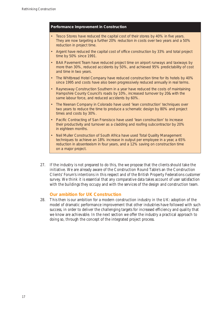#### **Performance Improvement in Construction**

- Tesco Stores have reduced the capital cost of their stores by 40% in five years. They are now targeting a further 20% reduction in costs over two years and a 50% reduction in project time.
- Argent have reduced the capital cost of office construction by 33% and total project time by 50% since 1991.
- BAA Pavement Team have reduced project time on airport runways and taxiways by more than 30%, reduced accidents by 50%, and achieved 95% predictability of cost and time in two years.
- The Whitbread Hotel Company have reduced construction time for its hotels by 40% since 1995 and costs have also been progressively reduced annually in real terms.
- Raynesway Construction Southern in a year have reduced the costs of maintaining Hampshire County Council's roads by 10%, increased turnover by 20& with the same labour force, and reduced accidents by 60%.
- The Neenan Company in Colorado have used 'lean construction' techniques over two years to reduce the time to produce a schematic design by 80% and project times and costs by 30%.
- Pacific Contracting of San Fransisco have used 'lean construction' to increase their productivity and turnover as a cladding and roofing subcontractor by 20% in eighteen months.
- Neil Muller Construction of South Africa have used Total Quality Management techniques to achieve an 18% increase in output per employee in a year, a 65% reduction in absenteeism in four years, and a 12% saving on construction time on a major project.
- 27. If the industry is not prepared to do this, the we propose that the clients should take the initiative. We are already aware of the Construction Round Table's an the Construction Clients' Forum's intentions in this respect and of the British Property Federations customer survey. We think it is essential that any comparative data takes account of user satisfaction with the buildings they occupy and with the services of the design and construction team.

#### **Our ambition for UK Construction**

This then is our ambition for a modern construction industry in the UK: adoption of the model of dramatic performance improvement that other industries have followed with such success, in order to deliver the challenging targets for increased efficiency and quality that we know are achievable. In the next section we offer the industry a practical approach to doing so, through the concept of the integrated project process. 28.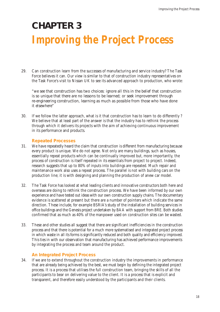# **CHAPTER 3 Improving the Project Process**

Can construction learn from the successes of manufacturing and service industry? The Task Force believes it can. Our view is similar to that of construction industry representatives on the Task Force's visit to Nissan UK to see its advanced approach to production, who wrote: 29.

*"we see that construction has two choices: ignore all this in the belief that construction is so unique that there are no lessons to be learned; or seek improvement through re-engineering construction, learning as much as possible from those who have done it elsewhere"*

If we follow the latter approach, what is it that construction has to learn to do differently ? We believe that at least part of the answer is that the industry has to rethink the process through which it delivers its projects with the aim of achieving continuous improvement in its performance and products. 30.

#### **Repeated Processes**

- We have repeatedly heard the claim that construction is different from manufacturing because every product is unique. We do not agree. Not only are many buildings, such as houses, essentially repeat products which can be continually improved but, more importantly, the process of construction is itself repeated in its essentials from project to project. Indeed, research suggests that up to 80% of inputs into buildings are repeated. Much repair and maintenance work also uses a repeat process. The parallel is not with building cars on the production line; it is with designing and planning the production of anew car model. 31.
- The Task Force has looked at what leading clients and innovative constructors both here and overseas are doing to rethink the construction process. We have been informed by our own experience and have tested out ideas with our own construction supply chains. The documentary evidence is scattered at present but there are a number of pointers which indicate the same direction. These include, for example BSRIA's study of the installation of building services in office buildings and the Genesis project undertaken by BAA with support from BRE. Both studies confirmed that as much as 40% of the manpower used on construction sites can be wasted. 32.
- These and other studies all suggest that there are significant inefficiencies in the construction process and that there is potential for a much more systematised and integrated project process in which waste in all its forms is significantly reduced and both quality and efficiency improved. This ties in with our observation that manufacturing has achieved performance improvements by integrating the process and team around the product. 33.

#### **An Integrated Project Process**

If we are to extend throughout the construction industry the improvements in performance that are already being achieved by the best, we must begin by defining the integrated project process. It is a process that utilises the full construction team, bringing the skills of all the participants to bear on delivering value to the client. It is a process that is explicit and transparent, and therefore easily understood by the participants and their clients. 34.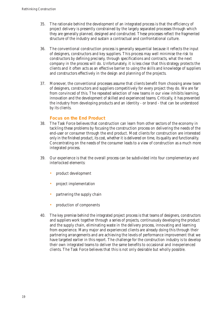- The rationale behind the development of an integrated process is that the efficiency of project delivery is presently constrained by the largely separated processes through which they are generally planned, designed and constructed. These processes reflect the fragmented structure of the industry and sustain a contractual and confrontational culture. 35.
- The conventional construction process is generally sequential because it reflects the input of designers, constructors and key suppliers. This process may well minimise the risk to constructors by defining precisely, through specifications and contracts, what the next company in the process will do. Unfortunately, it is less clear that this strategy protects the clients and it often acts as an effective barrier to using the skills and knowledge of suppliers and constructors effectively in the design and planning of the projects. 36.
- Moreover, the conventional processes assume that clients benefit from choosing anew team of designers, constructors and suppliers competitively for every project they do. We are far from convinced of this. The repeated selection of new teams in our view inhibits learning, innovation and the development of skilled and experienced teams. Critically, it has prevented the industry from developing products and an identity - or brand - that can be understood by its clients. 37.

#### **Focus on the End Product**

- The Task Force believes that construction can learn from other sectors of the economy in tackling these problems by focusing the construction process on delivering the needs of the end-user or consumer through the end product. Most clients for construction are interested only in the finished product, its cost, whether it is delivered on time, its quality and functionality. Concentrating on the needs of the consumer leads to a view of construction as a much more integrated process. 38.
- Our experience is that the overall process can be subdivided into four complementary and interlocked elements: 39.
	- product development
	- project implementation
	- partnering the supply chain
	- production of components
- The key premise behind the integrated project process is that teams of designers, constructors and suppliers work together through a series of projects, continuously developing the product and the supply chain, eliminating waste in the delivery process, innovating and learning from experience. Many major and experienced clients are already doing this through their partnering arrangements and are achieving the levels of performance improvement that we have targeted earlier in this report. The challenge for the construction industry is to develop their own integrated teams to deliver the same benefits to occasional and inexperienced clients. The Task Force believes that this is not only desirable but wholly possible. 40.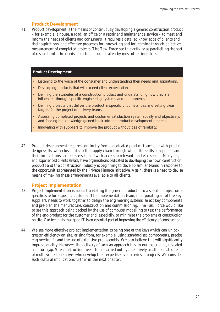#### **Product Development**

Product development is the means of continuously developing a generic construction product – for example, a house, a road, an office or a repair and maintenance service – to meet and inform the needs of clients and consumers. It requires a detailed knowledge of clients and their aspirations, and effective processes for innovating and for learning through objective measurement of completed projects. The Task Force see this activity as parallelling the sort of research into the needs of customers undertaken by most other industries. 41.

#### **Product Development**

- Listening to the voice of the consumer and understanding their needs and aspirations.
- Developing products that will exceed client expectations.
- Defining the attributes of a construction product and understanding how they are influenced through specific engineering systems and components.
- Defining projects that deliver the product in specific circumstances and setting clear targets for the project of delivery teams.
- Assessing completed projects and customer satisfaction systematically and objectively, and feeding the knowledge gained back into the product development process.
- Innovating with suppliers to improve the product without loss of reliability,
- Product development requires continuity from a dedicated product team: one with product design skills, with close links to the supply chain through which the skills of suppliers and their innovations can be assessed, and with access to relevant market research. Many major and experienced clients already have organisations dedicated to developing their own construction products and the construction industry is beginning to develop similar teams in response to the opportunities presented by the Private Finance Initiative. Again, there is a need to devise means of making these arrangements available to all clients. 42.

#### **Project Implementation**

- Project implementation is about translating the generic product into a specific project on a specific site for a specific customer. The implementation team, incorporating all of the key suppliers, needs to work together to design the engineering systems, select key components and pre-plan the manufacture, construction and commissioning. The Task Force would like to see this approach being backed by the use of computer modelling to test the performance of the end-product for the customer and, especially, to minimise the problems of construction on site. Our feeling is that good IT is an essential part of improving the efficiency of construction. 43.
- We see more effective project implementation as being one of the keys which can unlock greater efficiency on site, arising from, for example, using standardised components, precise engineering fit and the use of extensive pre-assembly. We also believe this will significantly improve quality. However, the delivery of such an approach has, in our experience, revealed a culture gap. Site construction needs to be carried out by a relatively small dedicated team of multi-skilled operatives who develop their expertise over a series of projects. We consider such cultural implications further in the next chapter. 44.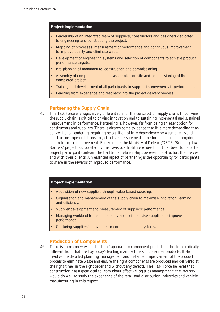#### **Project Implementation**

- Leadership of an integrated team of suppliers, constructors and designers dedicated to engineering and constructing the project.
- Mapping of processes, measurement of performance and continuous improvement to improve quality and eliminate waste.
- Development of engineering systems and selection of components to achieve product performance targets.
- Pre-planning of manufacture, construction and commissioning.
- Assembly of components and sub-assemblies on site and commissioning of the completed project.
- Training and development of all participants to support improvements in performance.
- Learning from experience and feedback into the project delivery process.

#### **Partnering the Supply Chain**

The Task Force envisages a very different role for the construction supply chain. In our view, the supply chain is critical to driving innovation and to sustaining incremental and sustained improvement in performance. Partnering is, however, far from being an easy option for constructors and suppliers. There is already some evidence that it is more demanding than conventional tendering, requiring recognition of interdependence between clients and constructors, open relationships, effective measurement of performance and an ongoing commitment to improvement. For example, the Ministry of Defence/DETR "Building down Barriers" project is supported by the Tavistock Institute whose hob it has been to help the project participants unlearn the traditional relationships between constructors themselves and with their clients. An essential aspect of partnering is the opportunity for participants to share in the rewards of improved performance. 45.

#### **Project Implementation**

- Acquisition of new suppliers through value-based sourcing.
- Organisation and management of the supply chain to maximise innovation, learning and efficiency.
- Supplier development and measurement of suppliers' performance.
- Managing workload to match capacity and to incentivise suppliers to improve performance.
- Capturing suppliers' innovations in components and systems.

#### **Production of Components**

There is no reason why constructions' approach to component production should be radically different from that used by today's leading manufacturers of consumer products. It should involve the detailed planning, management and sustained improvement of the production process to eliminate waste and ensure the right components are produced and delivered at the right time, in the right order and without any defects. The Task Force believes that construction has a great deal to learn about effective logistics management: the industry would do well to study the experience of the retail and distribution industries and vehicle manufacturing in this respect. 46.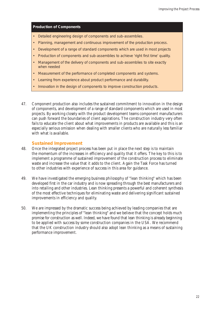#### **Production of Components**

- Detailed engineering design of components and sub-assemblies.
- Planning, management and continuous improvement of the production process.
- Development of a range of standard components which are used in most projects
- Production of components and sub-assemblies to achieve 'right first time' quality.
- Management of the delivery of components and sub-assemblies to site exactly when needed
- Measurement of the performance of completed components and systems.
- Learning from experience about product performance and durability.
- Innovation in the design of components to improve construction products.
- Component production also includes the sustained commitment to innovation in the design of components, and development of a range of standard components which are used in most projects. By working closely with the product development teams component manufacturers can push forward the boundaries of client aspirations. The construction industry very often fails to educate the client about what improvements in products are available and this is an especially serious omission when dealing with smaller clients who are naturally less familiar with what is available. 47.

#### **Sustained Improvement**

- Once the integrated project process has been put in place the next step is to maintain the momentum of the increases in efficiency and quality that it offers. The key to this is to implement a programme of sustained improvement of the construction process to eliminate waste and increase the value that it adds to the client. Again the Task Force has turned to other industries with experience of success in this area for guidance. 48.
- We have investigated the emerging business philosophy of "lean thinking" which has been developed first in the car industry and is now spreading through the best manufacturers and into retailing and other industries. Lean thinking presents a powerful and coherent synthesis of the most effective techniques for eliminating waste and delivering significant sustained improvements in efficiency and quality. 49.
- We are impressed by the dramatic success being achieved by leading companies that are implementing the principles of "lean thinking" and we believe that the concept holds much promise for construction as well. Indeed, we have found that lean thinking is already beginning to be applied with success by some construction companies in the USA. We recommend that the UK construction industry should also adopt lean thinking as a means of sustaining performance improvement. 50.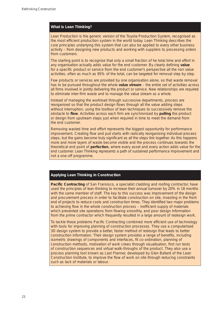#### **What is Lean Thinking?**

Lean Production is the generic version of the Toyota Production System, recognised as the most efficient production system in the world today. Lean Thinking describes the core principles underlying this system that can also be applied to every other business activity – from designing new products and working with suppliers to processing orders from customers.

The starting point is to recognise that only a small fraction of he total time and effort in any organisation actually adds value for the end customer. By clearly defining **value** for a specific product or service from the end customer's perspective all the non value activities, often as much as 95% of the total, can be targeted for removal step by step.

Few products or services are provided by one organisation alone, so that waste removal has to be pursued throughout the whole **value stream** – the entire set of activities across all firms involved in jointly delivering the product or service. New relationships are required to eliminate inter-firm waste and to manage the value stream as a whole.

Instead of managing the workload through successive departments, process are reorganised so that the product design flows through all the value adding steps without interruption, using the toolbox of lean techniques to successively remove the obstacle to **flow**. Activities across each firm are synchronised by **pulling** the product or design from upstream steps just when required in time to meet the demand from the end customer.

Removing wasted time and effort represents the biggest opportunity for performance improvement. Creating flow and pull starts with radically reorganising individual process steps, but the gains become truly significant as all the steps link together. As this happens more and more layers of waste become visible and the process continues towards the theoretical end point of **perfection**, where every asset and every action adds value for the end customer. Lean Thinking represents a path of sustained performance improvement and not a one-off programme.

#### **Applying Lean Thinking in Construction**

**Pacific Contracting** of San Fransisco, a specialist cladding and roofing contractor, have used the principles of *lean thinking* to increase their annual turnover by 20% in 18 months with the same member of staff. The key to this success was improvement of the design and procurement process in order to facilitate construction on site, investing in the front end of projects to reduce costs and construction times. They identified two major problems to achieving flow in the whole construction process – inefficient supply of materials which prevented site operations from flowing smoothly, and poor design information from the prime contractor which frequently resulted in a large amount of redesign work.

To tackle these problems Pacific Contracting combined more efficient use of technology with tools for improving planning of construction processes. They use a computerised 3D design system to provide a better, faster method of redesign that leads to better construction information. Their design system provides a range of benefits, including isometric drawings of components and interfaces, fit co-ordination, planning of construction methods, motivation of work crews through visualisation, first run tests of construction sequences and virtual walk-throughs of the product. They also use a process planning tool known as Last Planner, developed by Glen Ballard of the Lean Construction Institute, to improve the flow of work on site through reducing constraints such as lack of materials or labour.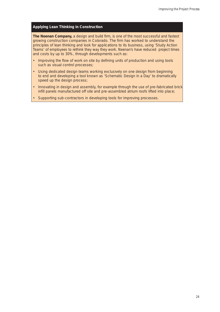#### **Applying Lean Thinking in Construction**

**The Neenan Company,** a design and build firm, is one of the most successful and fastest growing construction companies in Colorado. The firm has worked to understand the principles of lean thinking and look for applications to its business, using 'Study Action Teams' of employees to rethink they way they work. Neenan's have reduced project times and costs by up to 30%, through developments such as:

- Improving the flow of work on site by defining units of production and using tools such as visual control processes;
- Using dedicated design teams working exclusively on one design from beginning to end and developing a tool known as 'Schematic Design in a Day' to dramatically speed up the design process;
- Innovating in design and assembly, for example through the use of pre-fabricated brick infill panels manufactured off site and pre-assembled atrium roofs lifted into place;
- Supporting sub-contractors in developing tools for improving processes.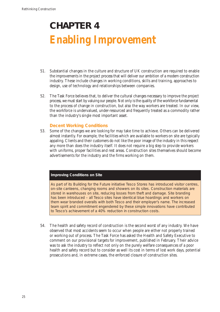# **CHAPTER 4 Enabling Improvement**

- Substantial changes in the culture and structure of UK construction are required to enable the improvements in the project process that will deliver our ambition of a modem construction industry. These include changes in working conditions, skills and training, approaches to design, use of technology and relationships between companies. 51.
- The Task Force believes that, to deliver the cultural changes necessary to improve the project process, we must start by valuing our people. Not only is the quality of the workforce fundamental to the process of change in construction, but also the way workers are treated. In our view, the workforce is undervalued, under-resourced and frequently treated as a commodity rather than the industry's single most important asset. 52.

#### **Decent Working Conditions**

Some of the changes we are looking for may take time to achieve. Others can be delivered almost instantly. For example, the facilities which are available to workers on site are typically appaling. Clients and their customers do not like the poor image of the industry in this respect any more than does the industry itself. It does not require a big step to provide workers with uniforms, proper facilities and rest areas. Construction sites themselves should become advertisements for the industry and the firms working on them. 53.

#### **Improving Conditions on Site**

As part of its *Building for the Future* initiative Tesco Stores has introduced visitor centres, on-site canteens, changing rooms and showers on its sites. Construction materials are stored in warehouses on site, reducing losses from theft and damage. Site branding has been introduced – all Tesco sites have identical blue hoardings and workers on them wear branded overalls with both Tesco and their employer's name. The increased team spirit and commitment engendered by these simple innovations have contributed to Tesco's achievement of a 40% reduction in construction costs.

The health and safety record of construction is the second worst of any industry. We have observed that most accidents seem to occur when people are either not properly trained or working out of process. The Task Force has asked the Health and Safety Executive to comment on our provisional targets for improvement, published in February. Their advice was to ask the industry to reflect not only on the purely welfare consequences of a poor health and safety record but to consider as well its cost in terms of lost work days, potential prosecutions and, in extreme cases, the enforced closure of construction sites. 54.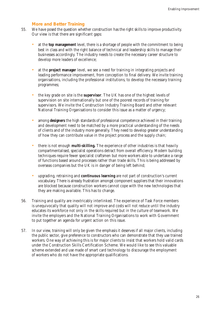#### **More and Better Training**

- We have posed the question whether construction has the right skills to improve productivity. Our view is that there are significant gaps: 55.
	- at the **top management** level, there is a shortage of people with the commitment to being best in class and with the right balance of technical and leadership skills to manage their businesses accordingly. The industry needs to create the necessary career structure to develop more leaders of excellence;
	- at the **project manager** level, we see a need for training in integrating projects and leading performance improvement, from conception to final delivery. We invite training organisations, including the professional institutions, to develop the necessary training programmes;
	- the key grade on site is the **supervisor**. The UK has one of the highest levels of supervision on site internationally but one of the poorest records of training for supervisors. We invite the Construction Industry Training Board and other relevant National Training Organisations to consider this issue as a matter of urgency;
	- among **designers** the high standards of professional competence achieved in their training and development need to be matched by a more practical understanding of the needs of clients and of the industry more generally. They need to develop greater understanding of how they can contribute value in the project process and the supply chain;
	- there is not enough **multi-skilling.** The experience of other industries is that heavily compartmentalised, specialist operations detract from overall efficiency. Modern building techniques require fewer specialist craftsmen but more workers able to undertake a range of functions based around processes rather than trade skills. This is being addressed by overseas companies but the UK is in danger of being left behind;
	- upgrading, retraining and **continuous learning** are not part of construction's current vocabulary. There is already frustration amongst component suppliers that their innovations are blocked because construction workers cannot cope with the new technologies that they are making available. This has to change.
- Training and quality are inextricably interlinked. The experience of Task Force members is unequivocally that quality will not improve and costs will not reduce until the industry educates its workforce not only in the skills required but in the culture of teamwork. We invite the employers and the National Training Organisations to work with Government to put together an agenda for urgent action on this issue. 56.
- In our view, training will only be given the emphasis it deserves if all major clients, including the public sector, give preference to constructors who can demonstrate that they use trained workers. One way of achieving this is for major clients to insist that workers hold valid cards under the Construction Skills Certification Scheme. We would like to see this valuable scheme extended and use made of smart card technology to discourage the employment of workers who do not have the appropriate qualifications. 57.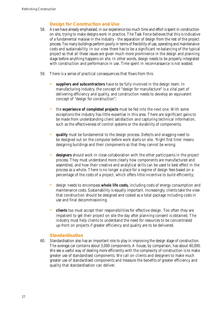#### **Design for Construction and Use**

- As we have already emphasised, in our experience too much time and effort is spent in construction on site, trying to make designs work in practice. The Task Force believes that this is indicative of a fundamental malaise in the industry - the separation of design from the rest of the project process. Too many buildings perform poorly in terms of flexibility of use, operating and maintenance costs and sustainability. In our view there has to be a significant re-balancing of the typical project so that all these issues are given much more prominence in the design and planning stage before anything happens on site. In other words, design needs to be properly integrated with construction and performance in use. Time spent in reconnaissance is not wasted. 58.
- There is a series of practical consequences that flows from this: 59.
	- suppliers and subcontractors have to be fully involved in the design team. In manufacturing industry, the concept of "design for manufacture" is a vital part of delivering efficiency and quality, and construction needs to develop an equivalent concept of "design for construction";
	- the **experience of completed projects** must be fed into the next one. With some exceptions the industry has little expertise in this area. There are significant gains to be made from understanding client satisfaction and capturing technical information, such as the effectiveness of control systems or the durability of components;
	- **quality** must be fundamental to the design process. Defects and snagging need to be designed out on the computer before work starts on site. 'Right first time' means designing buildings and their components so that they cannot be wrong;
	- **designers** should work in close collaboration with the other participants in the project process. They must understand more clearly how components are manufactured and assembled, and how their creative and analytical skills can be used to best effect in the process as a whole. There is no longer a place for a regime of design fees based on a percentage of the costs of a project, which offers little incentive to build efficiently;
	- design needs to encompass **whole life costs,** including costs of energy consumption and maintenance costs. Sustainability is equally important. Increasingly, clients take the view that construction should be designed and costed as a total package including costs in use and final decommissioning.
	- **clients** too must accept their responsibilities for effective design. Too often they are impatient to get their project on site the day after planning consent is obtained. The industry must help clients to understand the need for resources to be concentrated up-front on projects if greater efficiency and quality are to be delivered.

#### **Standardisation**

Standardisation also has an important role to play in improving the design stage of construction. The average car contains about 3,000 components. A house, by comparison, has about 40,000. We see a useful way of dealing more efficiently with the complexity of construction is to make greater use of standardised components. We call on clients and designers to make much greater use of standardised components and measure the benefits of greater efficiency and quality that standardisation can deliver. 60.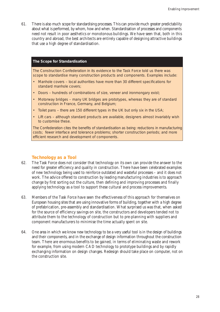There is also much scope for standardising processes. This can provide much greater predictability about what is performed, by whom, how and when. Standardisation of processes and components need not result in poor aesthetics or monotonous buildings. We have seen that, both in this country and abroad, the best architects are entirely capable of designing attractive buildings that use a high degree of standardisation. 61.

#### **The Scope for Standardisation**

The Construction Confederation in its evidence to the Task Force told us there was scope to standardise many construction products and components. Examples include:

- Manhole covers local authorities have more than 30 different specifications for standard manhole covers;
- Doors hundreds of combinations of size, veneer and ironmongary exist;
- Motorway bridges many UK bridges are prototypes, whereas they are of standard construction in France, Germany, and Belgium;
- Toilet pans there are 150 different types in the UK but only six in the USA;
- Lift cars although standard products are available, designers almost invariably wish to customise these.

The Confederation cites the benefits of standardisation as being: reductions in manufacturing costs; fewer interface and tolerance problems; shorter construction periods; and more efficient research and development of components.

#### **Technology as a Tool**

- The Task Force does not consider that technology on its own can provide the answer to the need for greater efficiency and quality in construction. There have been celebrated examples of new technology being used to reinforce outdated and wasteful processes – and it does not work. The advice offered to construction by leading manufacturing industries is to approach change by first sorting out the culture, then defining and improving processes and finally applying technology as a tool to support these cultural and process improvements. 62.
- Members of the Task Force have seen the effectiveness of this approach for themselves on European housing sites that are using innovative forms of building, together with a high degree of prefabrication, pre-assembly and standardisation. What surprised us was that, when asked for the source of efficiency savings on site, the constructors and developers tended not to attribute them to the technology of construction but to pre-planning with suppliers and component manufacturers to minimise the time actually spent on site. 63.
- One area in which we know new technology to be a very useful tool is in the design of buildings and their components, and in the exchange of design information throughout the construction team. There are enormous benefits to be gained, in terms of eliminating waste and rework for example, from using modern CAD technology to prototype buildings and by rapidly exchanging information on design changes. Redesign should take place on computer, not on the construction site. 64.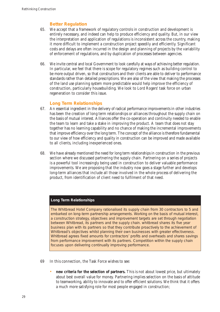#### **Better Regulation**

- We accept that a framework of regulatory controls in construction and development is entirely necessary, and indeed can help to produce efficiency and quality. But, in our view the interpretation and application of regulations is inconsistent across the country, making it more difficult to implement a construction project speedily and efficiently. Significant costs and delays are often incurred in the design and planning of projects by the variability of enforcement of regulations, and by duplication of processes between agencies. 65.
- We invite central and local Government to look carefully at ways of achieving better regulation. 66. In particular, we feel that there is scope for regulatory regimes such as building control to be more output driven, so that constructors and their clients are able to deliver to performance standards rather than detailed prescriptions. We are also of the view that making the processes of the land use planning system more predictable would help improve the efficiency of construction, particularly housebuilding. We look to Lord Rogers' task force on urban regeneration to consider this issue.

#### **Long Term Relationships**

- An essential ingredient in the delivery of radical performance improvements in other industries has been the creation of long term relationships or alliances throughout the supply chain on the basis of mutual interest. Alliances offer the co-operation and continuity needed to enable the team to learn and take a stake in improving the product. A team that does not stay together has no learning capability and no chance of making the incremental improvements that improve efficiency over the long term. The concept of the alliance is therefore fundamental to our view of how efficiency and quality in construction can be improved and made available to all clients, including inexperienced ones. 67.
- We have already mentioned the need for long term relationships in construction in the previous 68. section where we discussed partnering the supply chain. Partnering on a series of projects is a powerful tool increasingly being used in construction to deliver valuable performance improvements. We are proposing that the industry now goes a stage further and develops long-term alliances that include all those involved in the whole process of delivering the product, from identification of client need to fulfilment of that need.

#### **Long Term Relationships**

The Whitbread Hotel Company rationalised its supply chain from 30 contractors to 5 and embarked on long-term partnership arrangements. Working on the basis of mutual interest, a construction strategy, objectives and improvement targets are set through negotiation between Whitbread, its partners and the supply chain. whitbread shares its five year business plan with its partners so that they contribute proactively to the achievement of Whitbread's objectives whilst planning their own businesses with greater effectiveness. Whitbread agrees fixed amounts for contractors' profits and overheads and shares savings from performance improvement with its partners. Competition within the supply chain focuses upon delivering continually improving performance.

- In this connection, the Task Force wishes to see: 69
	- **new criteria for the selection of partners.** This is not about lowest price, but ultimately about best overall value for money. Partnering implies selection on the basis of attitude to teamworking, ability to innovate and to offer efficient solutions. We think that it offers a much more satisfying role for most people engaged in construction;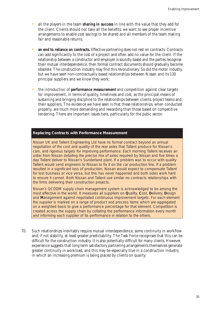- all the players in the team **sharing in success** in line with the value that they add for the client. Clients should not take all the benefits: we want to see proper incentive arrangements to enable cost savings to be shared and all members of the team making fair and reasonable returns;
- **an end to reliance on contracts.** Effective partnering does not rest on contracts. Contracts can add significantly to the cost of a project and often add no value for the client. If the relationship between a constructor and employer is soundly based and the parties recognise their mutual interdependence, then formal contract documents should gradually become obsolete. The construction industry may find this revolutionary. So did the motor industry, but we have seen non-contractually based relationships between Nissan and its 130 principal suppliers and we know they work;
- the introduction of **performance measurement** and competition against clear targets for improvement, in terms of quality, timeliness and cost, as the principal means of sustaining and bringing discipline to the relationships between clients, project teams and their suppliers. The evidence we have seen is that these relationships, when conducted properly, are much more demanding and rewarding than those based on competitive tendering. There are important issues here, particularly for the pubic sector.

#### **Replacing Contracts with Performance Measurement**

Nissan UK and Tallent Engineering Ltd have no formal contract beyond an annual negotiation of the cost and quality of the rear axles that Tallent produce for Nissan's cars, and rigorous targets for improving performance. Each morning Tallent receives an order from Nissan detailing the precise mix of axles required by Nissan and five times a day Tallent deliver to Nissan's Sunderland plant. If a problem was to occur with quality Tallent would send engineers to Nissan to fix it on the car production line. If a problem resulted in a significant loss of production, Nissan would expect to compensate Tallent for lost business or vice versa, but this has never happened and both sides work hard to ensure it cannot. Both Nissan and Tallent use similar no-contracts relationships with the firms delivering their construction projects.

Nissan's QCDDM supply chain management system is acknowledged to be among the most effective in the world. It measures all suppliers on **Q**uality, **C**ost, **D**elivery, **D**esign and **M**anagement against negotiated continuous improvement targets. For each element the supplier is marked on a range of product and process items which are aggregated on a weighted basis to give a performance percentage for that element. Competition is created across the supply chain by collating the performance information every month and informing each supplier of its performance in relation to the others.

Such relationships inevitably require mutual interdependence, some continuity in workflow and, if not stability, at least greater predictability. The Task Force recognises that this can be difficult for the construction industry. It is also potentially difficult for many clients. However, experience suggests that long term satisfactory partnering arrangements themselves generate greater continuity in workload, and this may be especially true in a construction industry in which an increasing premium is being placed by clients on quality. 70.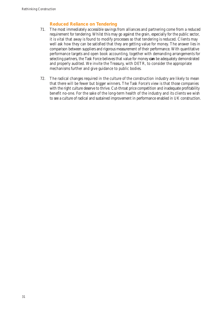#### **Reduced Reliance on Tendering**

- The most immediately accessible savings from alliances and partnering come from a reduced requirement for tendering. Whilst this may go against the grain, especially for the public sector, it is vital that away is found to modify processes so that tendering is reduced. Clients may well ask how they can be satisfied that they are getting value for money. The answer lies in comparison between suppliers and rigorous measurement of their performance. With quantitative performance targets and open book accounting, together with demanding arrangements for selecting partners, the Task Force believes that value for money **can** be adequately demonstrated and properly audited. We invite the Treasury, with DETR, to consider the appropriate mechanisms further and give guidance to public bodies. 71.
- The radical changes required in the culture of the construction industry are likely to mean that there will be fewer but bigger winners. The Task Force's view is that those companies with the right culture deserve to thrive. Cut-throat price competition and inadequate profitability benefit no-one. For the sake of the long-term health of the industry and its clients we wish to see a culture of radical and sustained improvement in performance enabled in UK construction. 72.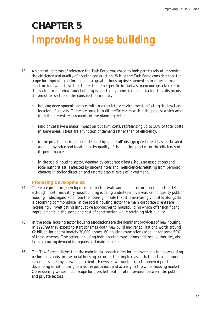# **CHAPTER 5 Improving House building**

- As part of its terms of reference the Task Force was asked to look particularly at improving the efficiency and quality of housing construction. Whilst the Task Force considers that the scope for improving performance is as great in housing development as in other forms of construction, we believe that there should be specific initiatives to encourage advances in this sector. In our view housebuilding is affected by some significant factors that distinguish it from other sectors of the construction industry: 73.
	- housing development operates within a regulatory environment, affecting the level and location of activity. There are some in-built inefficiencies within the process which arise from the present requirements of the planning system;
	- land prices have a major impact on out turn costs, representing up to 50% of total costs in some areas. These are a function of demand rather than of efficiency;
	- in the private housing market demand by a 'one-off' disaggregated client base is dictated as much by price and location as by quality of the housing product or the efficiency of its performance;
	- in the social housing sector, demand by corporate clients {housing associations and local authorities) is affected by uncertainties and inefficiencies resulting from periodic changes in policy direction and unpredictable levels of investment.

#### **Promising Developments**

- There are promising developments in both private and public sector housing in the UK, although most innovatory housebuilding is being undertaken overseas. Good quality public housing, indistinguishable from the housing for sale that it is increasingly located alongside, is becoming commonplace. In the social housing sector the main corporate clients are increasingly investigating innovative approaches to housebuilding which offer significant improvements in the speed and cost of construction while retaining high quality. 74.
- In the social housing sector housing associations are the dominant providers of new housing. In 1998/99 they expect to start schemes {both new build and rehabilitation) worth around £2 billion for approximately 30,000 homes. 60 housing associations account for some 50% of these schemes. The sector, including both housing associations and local authorities, also faces a growing demand for repairs and maintenance. 75.
- The Task Force believes that the main initial opportunities for improvements in housebuilding performance exist in the social housing sector for the simple reason that most social housing is commissioned by a few major clients. However, we would expect improved practice in developing social housing to affect expectations and activity in the wider housing market. Consequently we see much scope for cross-fertilisation of innovation between the public and private sectors. 76.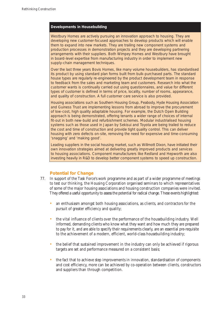#### **Developments in Housebuilding**

Westbury Homes are actively pursuing an innovation approach to housing. They are developing new customer-focused approaches to develop products which will enable them to expand into new markets. They are trailing new component systems and production processes in demonstration projects and they are developing partnering arrangements with their suppliers. Both Wimpey Homes and Westbury have brought in board-level expertise from manufacturing industry in order to implement new supply-chain management techniques.

Over the last three years Bovis Homes, like many volume housebuilders, has standardised its product by using standard plan forms built from bulk-purchased parts. The standard house types are regularly re-engineered by the product development team in response to feedback from the sales and marketing team and customers. Research into what the customer wants is continually carried out using questionnaires, and value for different types of customer is defined in terms of price, locality, number of rooms, appearance, and quality of construction. A full customer care service is also provided.

Housing associations such as Southern Housing Group, Peabody, Hyde Housing Association and Guiness Trust are implementing lessons from abroad to improve the procurement of low-cost, high quality adaptable housing. For example, the Dutch Open Building approach is being demonstrated, offering tenants a wider range of choices of internal fit-out in both new-build and refurbishment schemes. Modular industrialised housing systems such as those used in Japan by Sekisui and Toyota are being trailed to reduce the cost and time of construction and provide tight quality control. This can deliver housing with zero defects on-site, removing the need for expensive and time-consuming 'snagging' and 'making good'.

Leading suppliers in the social housing market, such as Willmott Dixon, have initiated their own innovation strategies aimed at delivering greatly improved products and services to housing associations. Component manufacturers like Redland and Hepworth are also investing heavily in R&D to develop better component systems to speed up construction.

#### **Potential for Change**

- In support of the Task Force's work programme and as part of a wider programme of meetings to test our thinking, the Housing Corporation organised seminars to which representatives of some of the major housing associations and housing construction companies were invited. They offered a useful opportunity to assess the potential for radical change. These events highlighted: 77.
	- an enthusiasm amongst both housing associations, as clients, and contractors for the pursuit of greater efficiency and quality;
	- the vital influence of clients over the performance of the housebuilding industry. Well informed, demanding clients who know what they want and how much they are prepared to pay for it, and are able to specify their requirements clearly, are an essential pre-requisite to the achievement of a modern, efficient, world-class housebuilding industry;
	- the belief that sustained improvement in the industry can only be achieved if rigorous targets are set and performance measured on a consistent basis;
	- the fact that to achieve step improvements in innovation, standardisation of components and cost efficiency, more can be achieved by co-operation between clients, constructors and suppliers than through competition.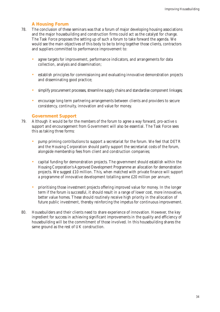#### **A Housing Forum**

- The conclusion of these seminars was that a forum of major developing housing associations and the major housebuilding and construction firms could act as the catalyst for change. The Task Force proposes the setting up of such a forum to take forward the agenda. We would see the main objectives of this body to be to bring together those clients, contractors and suppliers committed to performance improvement to: 78.
	- agree targets for improvement, performance indicators, and arrangements for data collection, analysis and dissemination;
	- establish principles for commissioning and evaluating innovative demonstration projects and disseminating good practice;
	- simplify procurement processes, streamline supply chains and standardise component linkages;
	- encourage long term partnering arrangements between clients and providers to secure consistency, continuity, innovation and value for money.

#### **Government Support**

- Although it would be for the members of the forum to agree a way forward, pro-active s support and encouragement from Government will also be essential. The Task Force sees this as taking three forms: 79.
	- pump priming contributions to support a secretariat for the forum. We feel that DETR and the Housing Corporation should partly support the secretariat costs of the forum, alongside membership fees from client and construction companies;
	- capital funding for demonstration projects. The government should establish within the Housing Corporation's Approved Development Programme an allocation for demonstration projects. We suggest £10 million. This, when matched with private finance will support a programme of innovative development totalling some £20 million per annum;
	- prioritising those investment projects offering improved value for money. In the longer term if the forum is successful, it should result in a range of lower cost, more innovative, better value homes. These should routinely receive high priority in the allocation of future public investment, thereby reinforcing the impetus for continuous improvement.
- Housebuilders and their clients need to share experience of innovation. However, the key ingredient for success in achieving significant improvements in the quality and efficiency of housebuilding will be the commitment of those involved. In this housebuilding shares the same ground as the rest of UK construction. 80.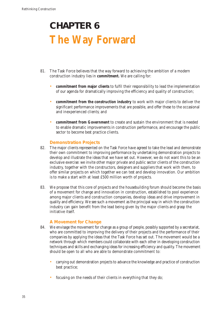# **CHAPTER 6 The Way Forward**

- The Task Force believes that the way forward to achieving the ambition of a modern 81. construction industry lies in **commitment.** We are calling for:
	- **commitment from major clients** to fulfil their responsibility to lead the implementation of our agenda for dramatically improving the efficiency and quality of construction;
	- **commitment from the construction industry** to work with major clients to deliver the significant performance improvements that are possible, and offer these to the occasional and inexperienced clients; and
	- **commitment from Government** to create and sustain the environment that is needed to enable dramatic improvements in construction performance, and encourage the public sector to become best practice clients.

#### **Demonstration Projects**

- The major clients represented on the Task Force have agreed to take the lead and demonstrate their own commitment to improving performance by undertaking demonstration projects to develop and illustrate the ideas that we have set out. However, we do not want this to be an exclusive exercise: we invite other major private and public sector clients of the construction industry, together with the constructors, designers and suppliers that work with them, to offer similar projects on which together we can test and develop innovation. Our ambition is to make a start with at least £500 million worth of projects. 82.
- We propose that this core of projects and the housebuilding forum should become the basis of a movement for change and innovation in construction, established to pool experience among major clients and construction companies, develop ideas and drive improvement in quality and efficiency. We see such a movement as the principal way in which the construction industry can gain benefit from the lead being given by the major clients and grasp the initiative itself. 83.

#### **A Movement for Change**

- We envisage the movement for change as a group of people, possibly supported by a secretariat, 84.who are committed to improving the delivery of their projects and the performance of their companies by applying the ideas that the Task Force has set out. The movement would be a network through which members could collaborate with each other in developing construction techniques and skills and exchanging ideas for increasing efficiency and quality. The movement should be open to all who are able to demonstrate commitment to:
	- carrying out demonstration projects to advance the knowledge and practice of construction best practice;
	- focusing on the needs of their clients in everything that they do;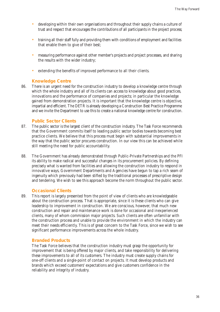- developing within their own organisations and throughout their supply chains a culture of trust and respect that encourages the contributions of all participants in the project process;
- training all their staff fully and providing them with conditions of employment and facilities that enable them to give of their best;
- measuring performance against other member's projects and project processes, and sharing the results with the wider industry;
- extending the benefits of improved performance to all their clients.

#### **Knowledge Centre**

There is an urgent need for the construction industry to develop a knowledge centre through which the whole industry and all of its clients can access to knowledge about good practices, innovations and the performance of companies and projects; in particular the knowledge gained from demonstration projects. It is important that the knowledge centre is objective, impartial and efficient. The DETR is already developing a Construction Best Practice Programme and we invite the Department to use this to create a national knowledge centre for construction. 86.

#### **Public Sector Clients**

- The public sector is the largest client of the construction industry. The Task Force recommends that the Government commits itself to leading public sector bodies towards becoming best practice clients. We believe that this process must begin with substantial improvements in the way that the public sector procures construction. In our view this can be achieved while still meeting the need for public accountability. 87.
- The Government has already demonstrated through Public-Private Partnerships and the PFI its ability to make radical and successful changes in its procurement policies. By defining precisely what is wanted from facilities and allowing the construction industry to respond in innovative ways, Government Departments and Agencies have begun to tap a rich seam of ingenuity which previously had been stifled by the traditional processes of prescriptive design and tendering. We wish to see this approach become the norm throughout the public sector. 88.

#### **Occasional Clients**

This report is largely presented from the point of view of clients who are knowledgeable about the construction process. That is appropriate, since it is these clients who can give leadership to improvement in construction. We are conscious, however, that much new construction and repair and maintenance work is done for occasional and inexperienced clients, many of whom commission major projects. Such clients are often unfamiliar with the construction process and unable to provide the environment in which the industry can meet their needs efficiently. This is of great concern to the Task Force, since we wish to see significant performance improvements across the whole industry. 89.

#### **Branded Products**

The Task Force believes that the construction industry must grasp the opportunity for improvement that is being offered by major clients, and take responsibility for delivering these improvements to all of its customers. The industry must create supply chains for one-off clients and a single-point of contact on projects. It must develop products and brands which exceed customers' expectations and give customers confidence in the reliability and integrity of industry.